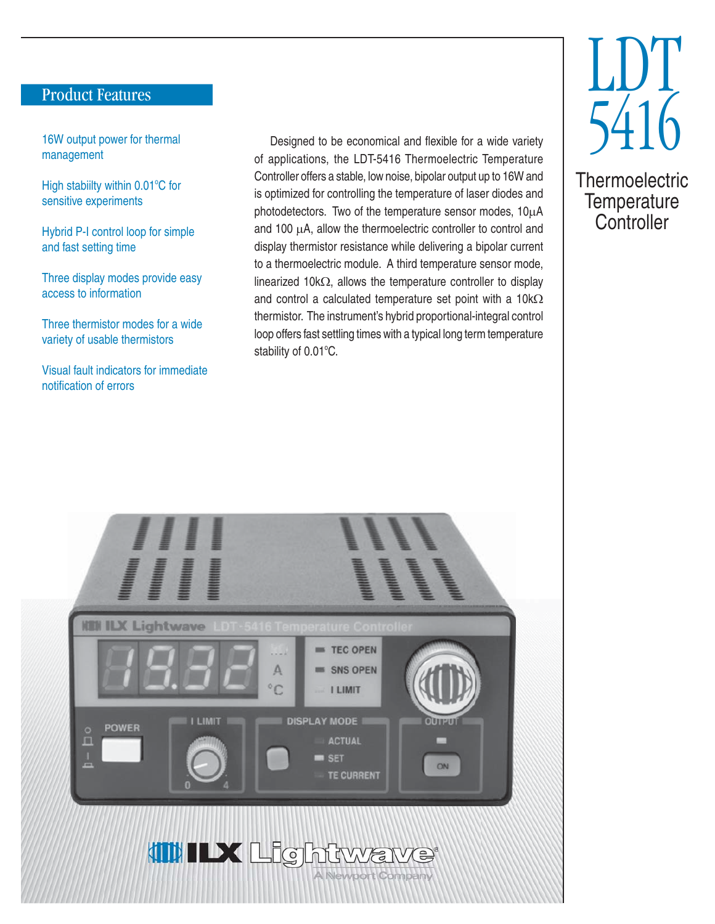### Product Features

16W output power for thermal management

High stabiilty within 0.01°C for sensitive experiments

Hybrid P-I control loop for simple and fast setting time

Three display modes provide easy access to information

Three thermistor modes for a wide variety of usable thermistors

Visual fault indicators for immediate notification of errors

Designed to be economical and flexible for a wide variety of applications, the LDT-5416 Thermoelectric Temperature Controller offers a stable, low noise, bipolar output up to 16W and is optimized for controlling the temperature of laser diodes and photodetectors. Two of the temperature sensor modes,  $10\mu$ A and 100  $\mu$ A, allow the thermoelectric controller to control and display thermistor resistance while delivering a bipolar current to a thermoelectric module. A third temperature sensor mode, linearized 10k $\Omega$ , allows the temperature controller to display and control a calculated temperature set point with a  $10k\Omega$ thermistor. The instrument's hybrid proportional-integral control loop offers fast settling times with a typical long term temperature stability of 0.01°C.



**Thermoelectric Temperature Controller**